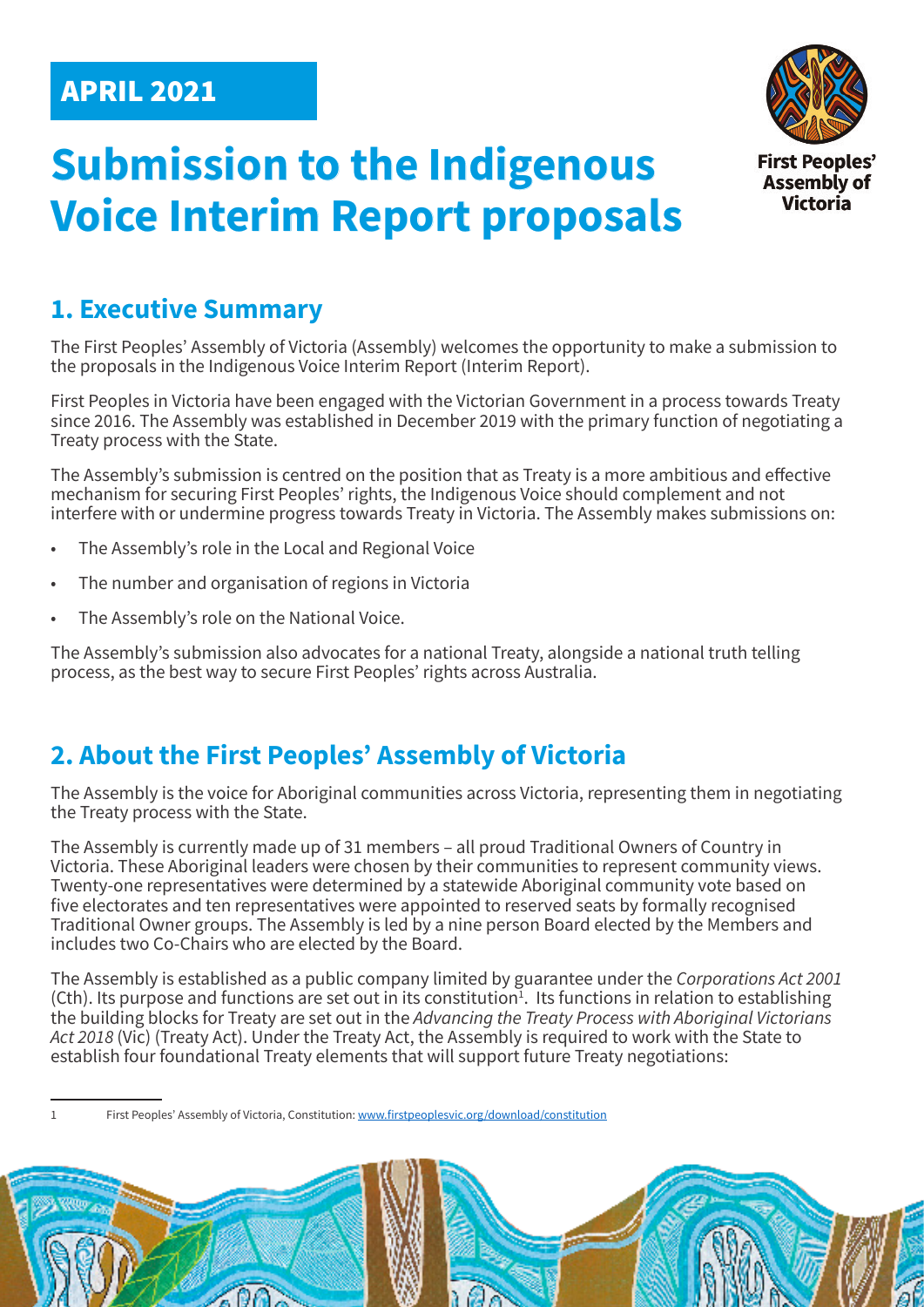# APRIL 2021





## **1. Executive Summary**

The First Peoples' Assembly of Victoria (Assembly) welcomes the opportunity to make a submission to the proposals in the Indigenous Voice Interim Report (Interim Report).

First Peoples in Victoria have been engaged with the Victorian Government in a process towards Treaty since 2016. The Assembly was established in December 2019 with the primary function of negotiating a Treaty process with the State.

The Assembly's submission is centred on the position that as Treaty is a more ambitious and effective mechanism for securing First Peoples' rights, the Indigenous Voice should complement and not interfere with or undermine progress towards Treaty in Victoria. The Assembly makes submissions on:

- The Assembly's role in the Local and Regional Voice
- The number and organisation of regions in Victoria
- The Assembly's role on the National Voice.

The Assembly's submission also advocates for a national Treaty, alongside a national truth telling process, as the best way to secure First Peoples' rights across Australia.

## **2. About the First Peoples' Assembly of Victoria**

The Assembly is the voice for Aboriginal communities across Victoria, representing them in negotiating the Treaty process with the State.

The Assembly is currently made up of 31 members – all proud Traditional Owners of Country in Victoria. These Aboriginal leaders were chosen by their communities to represent community views. Twenty-one representatives were determined by a statewide Aboriginal community vote based on five electorates and ten representatives were appointed to reserved seats by formally recognised Traditional Owner groups. The Assembly is led by a nine person Board elected by the Members and includes two Co-Chairs who are elected by the Board.

The Assembly is established as a public company limited by guarantee under the *Corporations Act 2001*   $(Ch)$ . Its purpose and functions are set out in its constitution<sup>1</sup>. Its functions in relation to establishing the building blocks for Treaty are set out in the *Advancing the Treaty Process with Aboriginal Victorians Act 2018* (Vic) (Treaty Act). Under the Treaty Act, the Assembly is required to work with the State to establish four foundational Treaty elements that will support future Treaty negotiations:

First Peoples' Assembly of Victoria, Constitution: www.firstpeoplesvic.org/download/constitution

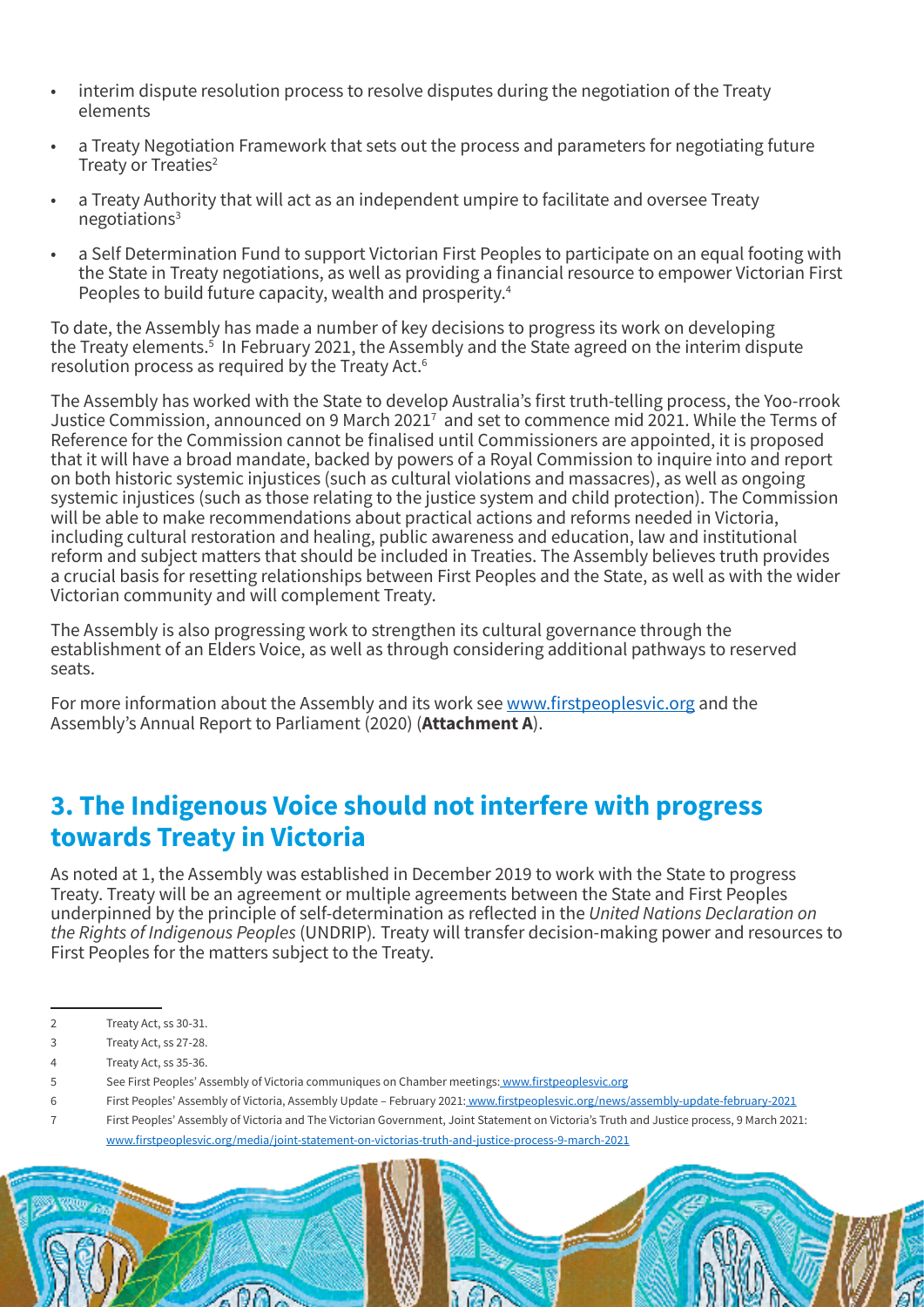- interim dispute resolution process to resolve disputes during the negotiation of the Treaty elements
- a Treaty Negotiation Framework that sets out the process and parameters for negotiating future Treaty or Treaties<sup>2</sup>
- a Treaty Authority that will act as an independent umpire to facilitate and oversee Treaty negotiations3
- a Self Determination Fund to support Victorian First Peoples to participate on an equal footing with the State in Treaty negotiations, as well as providing a financial resource to empower Victorian First Peoples to build future capacity, wealth and prosperity.4

To date, the Assembly has made a number of key decisions to progress its work on developing the Treaty elements.<sup>5</sup> In February 2021, the Assembly and the State agreed on the interim dispute resolution process as required by the Treaty Act.6

The Assembly has worked with the State to develop Australia's first truth-telling process, the Yoo-rrook Justice Commission, announced on 9 March 2021<sup>7</sup> and set to commence mid 2021. While the Terms of Reference for the Commission cannot be finalised until Commissioners are appointed, it is proposed that it will have a broad mandate, backed by powers of a Royal Commission to inquire into and report on both historic systemic injustices (such as cultural violations and massacres), as well as ongoing systemic injustices (such as those relating to the justice system and child protection). The Commission will be able to make recommendations about practical actions and reforms needed in Victoria, including cultural restoration and healing, public awareness and education, law and institutional reform and subject matters that should be included in Treaties. The Assembly believes truth provides a crucial basis for resetting relationships between First Peoples and the State, as well as with the wider Victorian community and will complement Treaty.

The Assembly is also progressing work to strengthen its cultural governance through the establishment of an Elders Voice, as well as through considering additional pathways to reserved seats.

For more information about the Assembly and its work see www.firstpeoplesvic.org and the Assembly's Annual Report to Parliament (2020) (**Attachment A**).

## **3. The Indigenous Voice should not interfere with progress towards Treaty in Victoria**

As noted at 1, the Assembly was established in December 2019 to work with the State to progress Treaty. Treaty will be an agreement or multiple agreements between the State and First Peoples underpinned by the principle of self-determination as reflected in the *United Nations Declaration on the Rights of Indigenous Peoples* (UNDRIP)*.* Treaty will transfer decision-making power and resources to First Peoples for the matters subject to the Treaty.

- 2 Treaty Act, ss 30-31.
- 3 Treaty Act, ss 27-28.
- 4 Treaty Act, ss 35-36.
- 5 See First Peoples' Assembly of Victoria communiques on Chamber meetings: www.firstpeoplesvic.org
- 6 First Peoples' Assembly of Victoria, Assembly Update February 2021: www.firstpeoplesvic.org/news/assembly-update-february-2021

7 First Peoples' Assembly of Victoria and The Victorian Government, Joint Statement on Victoria's Truth and Justice process, 9 March 2021: www.firstpeoplesvic.org/media/joint-statement-on-victorias-truth-and-justice-process-9-march-2021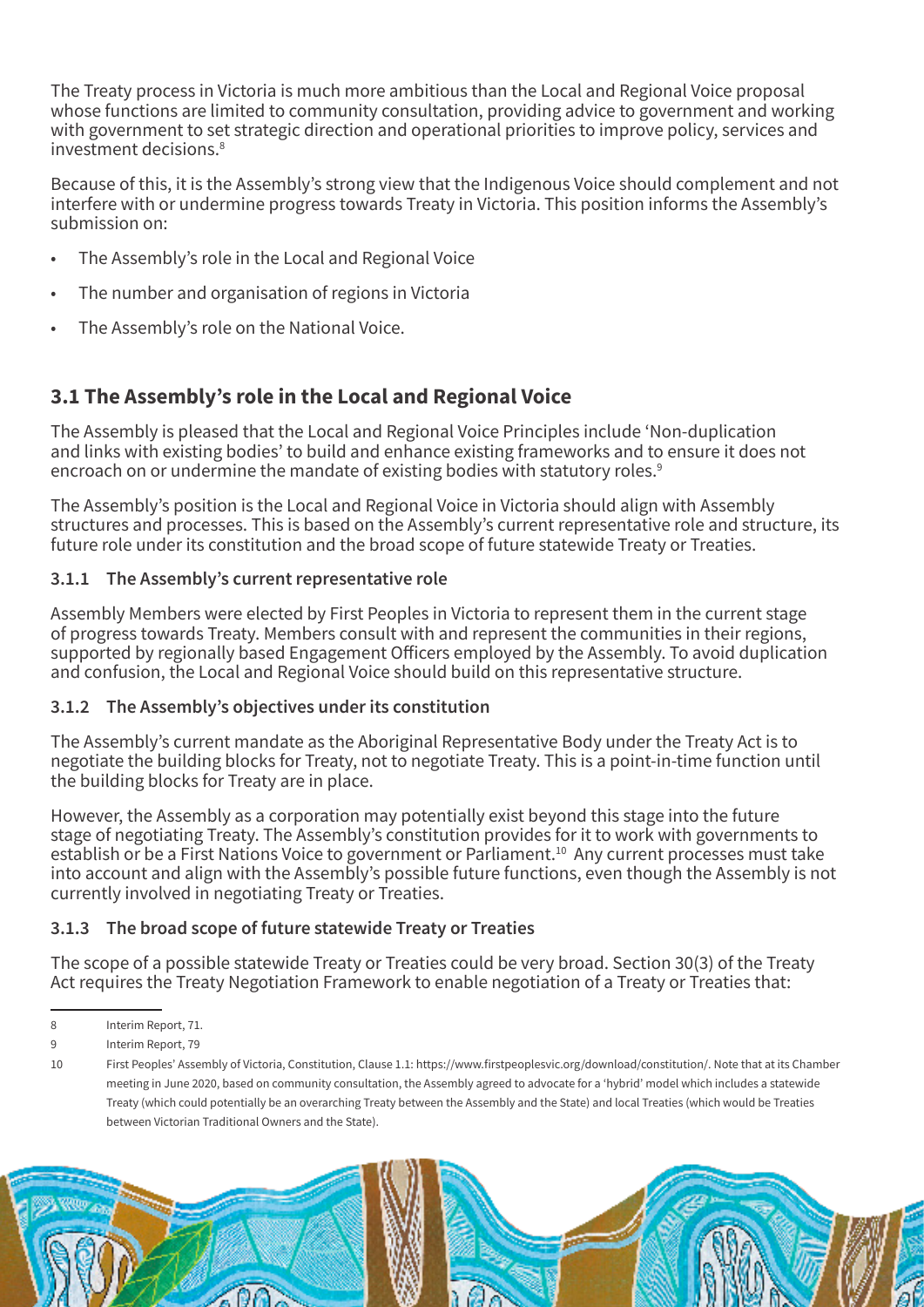The Treaty process in Victoria is much more ambitious than the Local and Regional Voice proposal whose functions are limited to community consultation, providing advice to government and working with government to set strategic direction and operational priorities to improve policy, services and investment decisions.<sup>8</sup>

Because of this, it is the Assembly's strong view that the Indigenous Voice should complement and not interfere with or undermine progress towards Treaty in Victoria. This position informs the Assembly's submission on:

- The Assembly's role in the Local and Regional Voice
- The number and organisation of regions in Victoria
- The Assembly's role on the National Voice.

### **3.1 The Assembly's role in the Local and Regional Voice**

The Assembly is pleased that the Local and Regional Voice Principles include 'Non-duplication and links with existing bodies' to build and enhance existing frameworks and to ensure it does not encroach on or undermine the mandate of existing bodies with statutory roles.<sup>9</sup>

The Assembly's position is the Local and Regional Voice in Victoria should align with Assembly structures and processes. This is based on the Assembly's current representative role and structure, its future role under its constitution and the broad scope of future statewide Treaty or Treaties.

#### **3.1.1 The Assembly's current representative role**

Assembly Members were elected by First Peoples in Victoria to represent them in the current stage of progress towards Treaty. Members consult with and represent the communities in their regions, supported by regionally based Engagement Officers employed by the Assembly. To avoid duplication and confusion, the Local and Regional Voice should build on this representative structure.

#### **3.1.2 The Assembly's objectives under its constitution**

The Assembly's current mandate as the Aboriginal Representative Body under the Treaty Act is to negotiate the building blocks for Treaty, not to negotiate Treaty. This is a point-in-time function until the building blocks for Treaty are in place.

However, the Assembly as a corporation may potentially exist beyond this stage into the future stage of negotiating Treaty. The Assembly's constitution provides for it to work with governments to establish or be a First Nations Voice to government or Parliament.<sup>10</sup> Any current processes must take into account and align with the Assembly's possible future functions, even though the Assembly is not currently involved in negotiating Treaty or Treaties.

#### **3.1.3 The broad scope of future statewide Treaty or Treaties**

The scope of a possible statewide Treaty or Treaties could be very broad. Section 30(3) of the Treaty Act requires the Treaty Negotiation Framework to enable negotiation of a Treaty or Treaties that:

<sup>8</sup> Interim Report, 71.

<sup>9</sup> Interim Report, 79

<sup>10</sup> First Peoples' Assembly of Victoria, Constitution, Clause 1.1: https://www.firstpeoplesvic.org/download/constitution/. Note that at its Chamber meeting in June 2020, based on community consultation, the Assembly agreed to advocate for a 'hybrid' model which includes a statewide Treaty (which could potentially be an overarching Treaty between the Assembly and the State) and local Treaties (which would be Treaties between Victorian Traditional Owners and the State).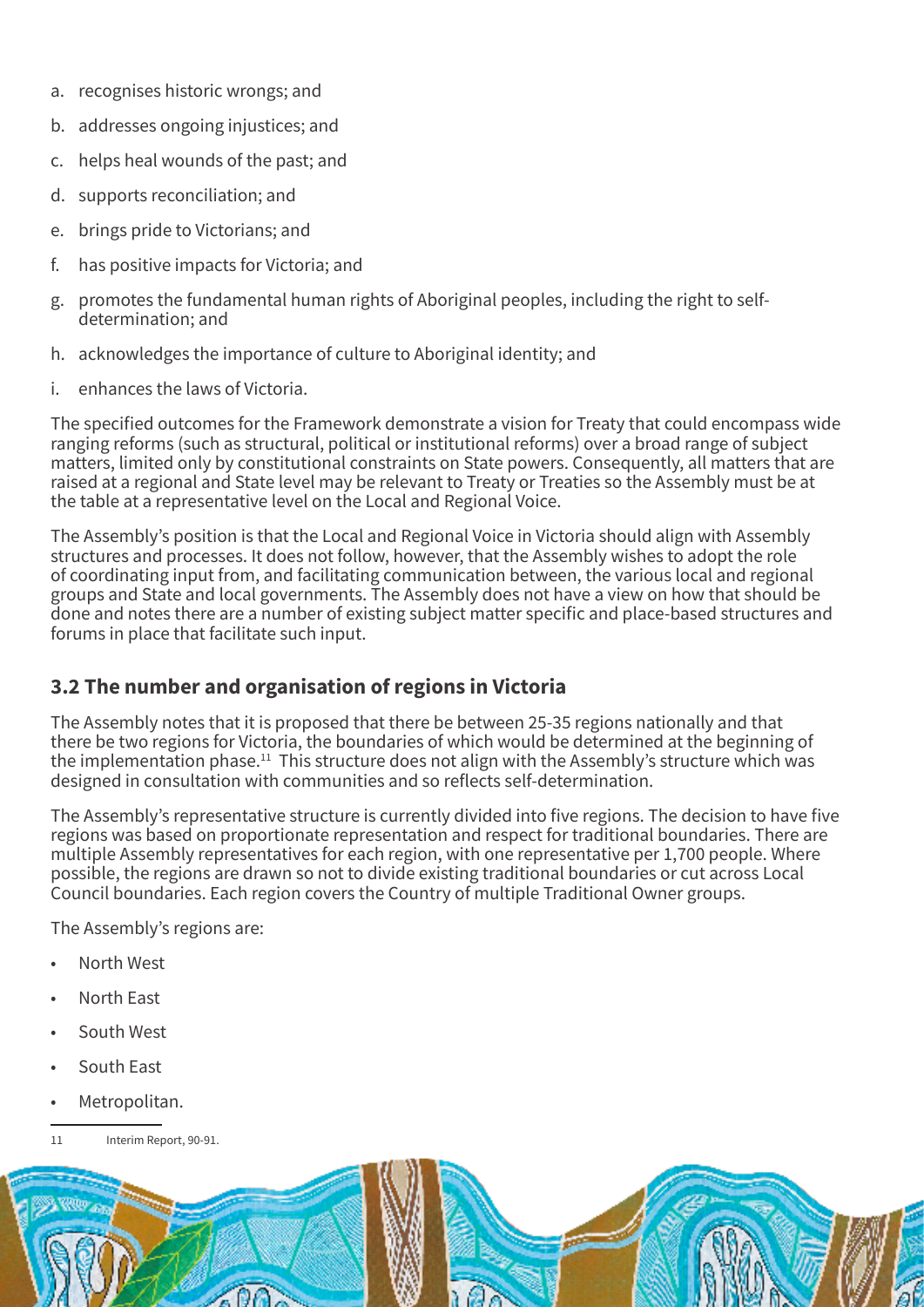- a. recognises historic wrongs; and
- b. addresses ongoing injustices; and
- c. helps heal wounds of the past; and
- d. supports reconciliation; and
- e. brings pride to Victorians; and
- f. has positive impacts for Victoria; and
- g. promotes the fundamental human rights of Aboriginal peoples, including the right to selfdetermination; and
- h. acknowledges the importance of culture to Aboriginal identity; and
- i. enhances the laws of Victoria.

The specified outcomes for the Framework demonstrate a vision for Treaty that could encompass wide ranging reforms (such as structural, political or institutional reforms) over a broad range of subject matters, limited only by constitutional constraints on State powers. Consequently, all matters that are raised at a regional and State level may be relevant to Treaty or Treaties so the Assembly must be at the table at a representative level on the Local and Regional Voice.

The Assembly's position is that the Local and Regional Voice in Victoria should align with Assembly structures and processes. It does not follow, however, that the Assembly wishes to adopt the role of coordinating input from, and facilitating communication between, the various local and regional groups and State and local governments. The Assembly does not have a view on how that should be done and notes there are a number of existing subject matter specific and place-based structures and forums in place that facilitate such input.

### **3.2 The number and organisation of regions in Victoria**

The Assembly notes that it is proposed that there be between 25-35 regions nationally and that there be two regions for Victoria, the boundaries of which would be determined at the beginning of the implementation phase.<sup>11</sup> This structure does not align with the Assembly's structure which was designed in consultation with communities and so reflects self-determination.

The Assembly's representative structure is currently divided into five regions. The decision to have five regions was based on proportionate representation and respect for traditional boundaries. There are multiple Assembly representatives for each region, with one representative per 1,700 people. Where possible, the regions are drawn so not to divide existing traditional boundaries or cut across Local Council boundaries. Each region covers the Country of multiple Traditional Owner groups.

The Assembly's regions are:

- North West
- North East
- South West
- South East
- Metropolitan.
- 11 Interim Report, 90-91.